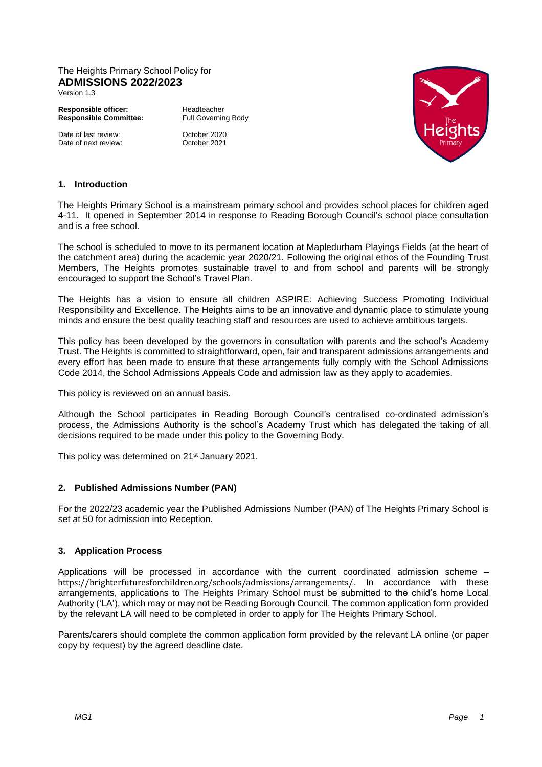# The Heights Primary School Policy for **ADMISSIONS 2022/2023**

Version 1.3

**Responsible officer:** Headteacher<br> **Responsible Committee:** Full Governing Body **Responsible Committee:** 

Date of last review: 0ctober 2020<br>Date of next review: 0ctober 2021 Date of next review:



# **1. Introduction**

The Heights Primary School is a mainstream primary school and provides school places for children aged 4-11. It opened in September 2014 in response to Reading Borough Council's school place consultation and is a free school.

The school is scheduled to move to its permanent location at Mapledurham Playings Fields (at the heart of the catchment area) during the academic year 2020/21. Following the original ethos of the Founding Trust Members, The Heights promotes sustainable travel to and from school and parents will be strongly encouraged to support the School's Travel Plan.

The Heights has a vision to ensure all children ASPIRE: Achieving Success Promoting Individual Responsibility and Excellence. The Heights aims to be an innovative and dynamic place to stimulate young minds and ensure the best quality teaching staff and resources are used to achieve ambitious targets.

This policy has been developed by the governors in consultation with parents and the school's Academy Trust. The Heights is committed to straightforward, open, fair and transparent admissions arrangements and every effort has been made to ensure that these arrangements fully comply with the School Admissions Code 2014, the School Admissions Appeals Code and admission law as they apply to academies.

This policy is reviewed on an annual basis.

Although the School participates in Reading Borough Council's centralised co-ordinated admission's process, the Admissions Authority is the school's Academy Trust which has delegated the taking of all decisions required to be made under this policy to the Governing Body.

This policy was determined on 21<sup>st</sup> January 2021.

# **2. Published Admissions Number (PAN)**

For the 2022/23 academic year the Published Admissions Number (PAN) of The Heights Primary School is set at 50 for admission into Reception.

# **3. Application Process**

Applications will be processed in accordance with the current coordinated admission scheme – <https://brighterfuturesforchildren.org/schools/admissions/arrangements/>. In accordance with these arrangements, applications to The Heights Primary School must be submitted to the child's home Local Authority ('LA'), which may or may not be Reading Borough Council. The common application form provided by the relevant LA will need to be completed in order to apply for The Heights Primary School.

Parents/carers should complete the common application form provided by the relevant LA online (or paper copy by request) by the agreed deadline date.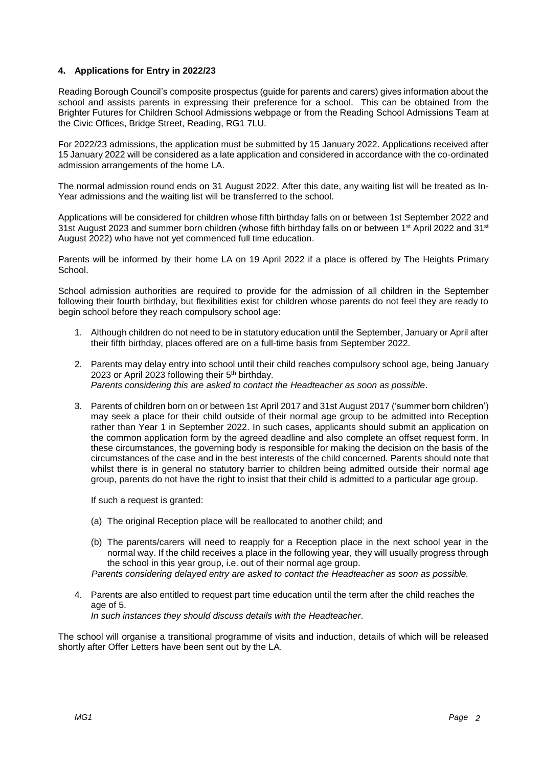# **4. Applications for Entry in 2022/23**

Reading Borough Council's composite prospectus (guide for parents and carers) gives information about the school and assists parents in expressing their preference for a school. This can be obtained from the Brighter Futures for Children School Admissions webpage or from the Reading School Admissions Team at the Civic Offices, Bridge Street, Reading, RG1 7LU.

For 2022/23 admissions, the application must be submitted by 15 January 2022. Applications received after 15 January 2022 will be considered as a late application and considered in accordance with the co-ordinated admission arrangements of the home LA.

The normal admission round ends on 31 August 2022. After this date, any waiting list will be treated as In-Year admissions and the waiting list will be transferred to the school.

Applications will be considered for children whose fifth birthday falls on or between 1st September 2022 and 31st August 2023 and summer born children (whose fifth birthday falls on or between 1st April 2022 and 31st August 2022) who have not yet commenced full time education.

Parents will be informed by their home LA on 19 April 2022 if a place is offered by The Heights Primary School.

School admission authorities are required to provide for the admission of all children in the September following their fourth birthday, but flexibilities exist for children whose parents do not feel they are ready to begin school before they reach compulsory school age:

- 1. Although children do not need to be in statutory education until the September, January or April after their fifth birthday, places offered are on a full-time basis from September 2022.
- 2. Parents may delay entry into school until their child reaches compulsory school age, being January 2023 or April 2023 following their 5th birthday. *Parents considering this are asked to contact the Headteacher as soon as possible*.
- 3. Parents of children born on or between 1st April 2017 and 31st August 2017 ('summer born children') may seek a place for their child outside of their normal age group to be admitted into Reception rather than Year 1 in September 2022. In such cases, applicants should submit an application on the common application form by the agreed deadline and also complete an offset request form. In these circumstances, the governing body is responsible for making the decision on the basis of the circumstances of the case and in the best interests of the child concerned. Parents should note that whilst there is in general no statutory barrier to children being admitted outside their normal age group, parents do not have the right to insist that their child is admitted to a particular age group.

If such a request is granted:

- (a) The original Reception place will be reallocated to another child; and
- (b) The parents/carers will need to reapply for a Reception place in the next school year in the normal way. If the child receives a place in the following year, they will usually progress through the school in this year group, i.e. out of their normal age group.

 *Parents considering delayed entry are asked to contact the Headteacher as soon as possible.*

4. Parents are also entitled to request part time education until the term after the child reaches the age of 5. *In such instances they should discuss details with the Headteacher*.

The school will organise a transitional programme of visits and induction, details of which will be released shortly after Offer Letters have been sent out by the LA.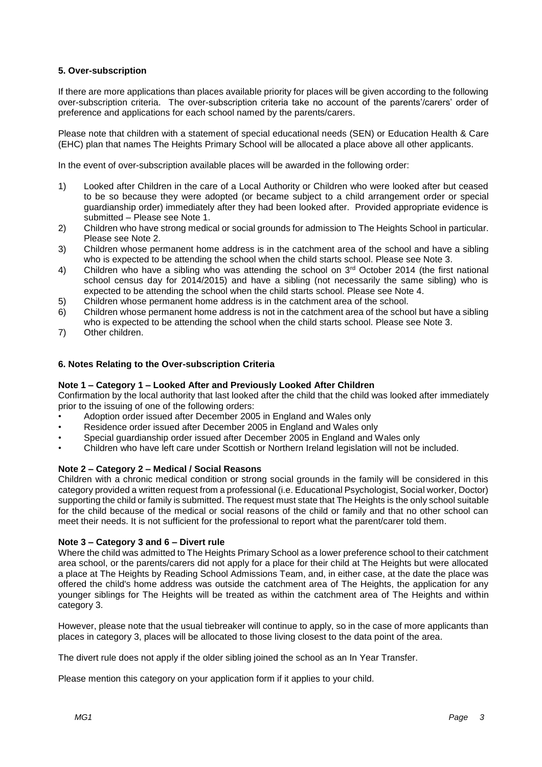# **5. Over-subscription**

If there are more applications than places available priority for places will be given according to the following over-subscription criteria. The over-subscription criteria take no account of the parents'/carers' order of preference and applications for each school named by the parents/carers.

Please note that children with a statement of special educational needs (SEN) or Education Health & Care (EHC) plan that names The Heights Primary School will be allocated a place above all other applicants.

In the event of over-subscription available places will be awarded in the following order:

- 1) Looked after Children in the care of a Local Authority or Children who were looked after but ceased to be so because they were adopted (or became subject to a child arrangement order or special guardianship order) immediately after they had been looked after. Provided appropriate evidence is submitted – Please see Note 1.
- 2) Children who have strong medical or social grounds for admission to The Heights School in particular. Please see Note 2.
- 3) Children whose permanent home address is in the catchment area of the school and have a sibling who is expected to be attending the school when the child starts school. Please see Note 3.
- 4) Children who have a sibling who was attending the school on 3<sup>rd</sup> October 2014 (the first national school census day for 2014/2015) and have a sibling (not necessarily the same sibling) who is expected to be attending the school when the child starts school. Please see Note 4.
- 5) Children whose permanent home address is in the catchment area of the school.
- 6) Children whose permanent home address is not in the catchment area of the school but have a sibling who is expected to be attending the school when the child starts school. Please see Note 3.
- 7) Other children.

## **6. Notes Relating to the Over-subscription Criteria**

## **Note 1 – Category 1 – Looked After and Previously Looked After Children**

Confirmation by the local authority that last looked after the child that the child was looked after immediately prior to the issuing of one of the following orders:

- Adoption order issued after December 2005 in England and Wales only
- Residence order issued after December 2005 in England and Wales only
- Special guardianship order issued after December 2005 in England and Wales only
- Children who have left care under Scottish or Northern Ireland legislation will not be included.

#### **Note 2 – Category 2 – Medical / Social Reasons**

Children with a chronic medical condition or strong social grounds in the family will be considered in this category provided a written request from a professional (i.e. Educational Psychologist, Social worker, Doctor) supporting the child or family is submitted. The request must state that The Heights is the only school suitable for the child because of the medical or social reasons of the child or family and that no other school can meet their needs. It is not sufficient for the professional to report what the parent/carer told them.

## **Note 3 – Category 3 and 6 – Divert rule**

Where the child was admitted to The Heights Primary School as a lower preference school to their catchment area school, or the parents/carers did not apply for a place for their child at The Heights but were allocated a place at The Heights by Reading School Admissions Team, and, in either case, at the date the place was offered the child's home address was outside the catchment area of The Heights, the application for any younger siblings for The Heights will be treated as within the catchment area of The Heights and within category 3.

However, please note that the usual tiebreaker will continue to apply, so in the case of more applicants than places in category 3, places will be allocated to those living closest to the data point of the area.

The divert rule does not apply if the older sibling joined the school as an In Year Transfer.

Please mention this category on your application form if it applies to your child.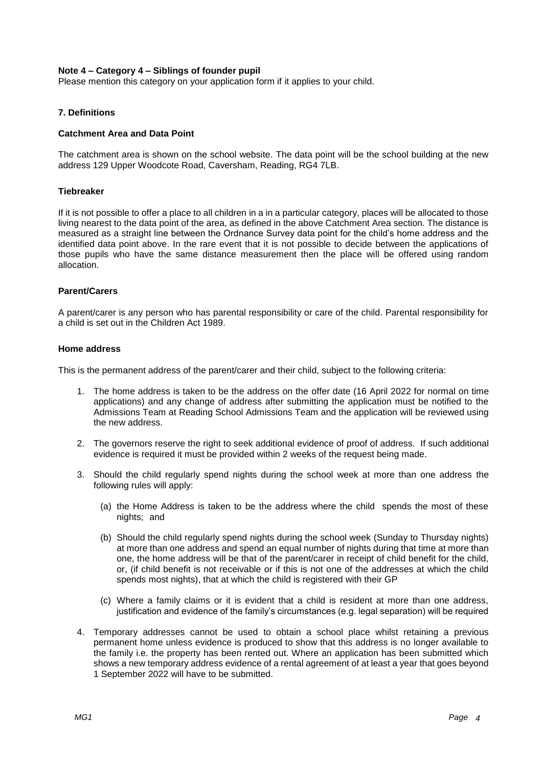## **Note 4 – Category 4 – Siblings of founder pupil**

Please mention this category on your application form if it applies to your child.

## **7. Definitions**

## **Catchment Area and Data Point**

The catchment area is shown on the school website. The data point will be the school building at the new address 129 Upper Woodcote Road, Caversham, Reading, RG4 7LB.

## **Tiebreaker**

If it is not possible to offer a place to all children in a in a particular category, places will be allocated to those living nearest to the data point of the area, as defined in the above Catchment Area section. The distance is measured as a straight line between the Ordnance Survey data point for the child's home address and the identified data point above. In the rare event that it is not possible to decide between the applications of those pupils who have the same distance measurement then the place will be offered using random allocation.

## **Parent/Carers**

A parent/carer is any person who has parental responsibility or care of the child. Parental responsibility for a child is set out in the Children Act 1989.

#### **Home address**

This is the permanent address of the parent/carer and their child, subject to the following criteria:

- 1. The home address is taken to be the address on the offer date (16 April 2022 for normal on time applications) and any change of address after submitting the application must be notified to the Admissions Team at Reading School Admissions Team and the application will be reviewed using the new address.
- 2. The governors reserve the right to seek additional evidence of proof of address. If such additional evidence is required it must be provided within 2 weeks of the request being made.
- 3. Should the child regularly spend nights during the school week at more than one address the following rules will apply:
	- (a) the Home Address is taken to be the address where the child spends the most of these nights; and
	- (b) Should the child regularly spend nights during the school week (Sunday to Thursday nights) at more than one address and spend an equal number of nights during that time at more than one, the home address will be that of the parent/carer in receipt of child benefit for the child, or, (if child benefit is not receivable or if this is not one of the addresses at which the child spends most nights), that at which the child is registered with their GP
	- (c) Where a family claims or it is evident that a child is resident at more than one address, justification and evidence of the family's circumstances (e.g. legal separation) will be required
- 4. Temporary addresses cannot be used to obtain a school place whilst retaining a previous permanent home unless evidence is produced to show that this address is no longer available to the family i.e. the property has been rented out. Where an application has been submitted which shows a new temporary address evidence of a rental agreement of at least a year that goes beyond 1 September 2022 will have to be submitted.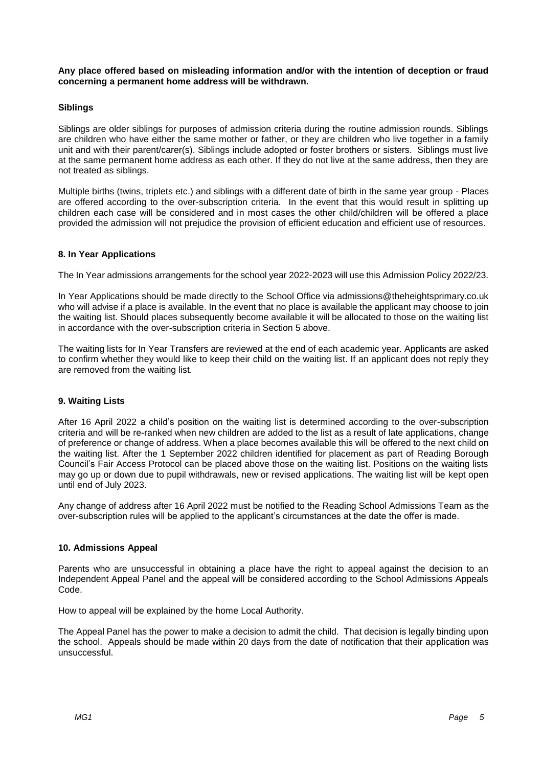**Any place offered based on misleading information and/or with the intention of deception or fraud concerning a permanent home address will be withdrawn.**

# **Siblings**

Siblings are older siblings for purposes of admission criteria during the routine admission rounds. Siblings are children who have either the same mother or father, or they are children who live together in a family unit and with their parent/carer(s). Siblings include adopted or foster brothers or sisters. Siblings must live at the same permanent home address as each other. If they do not live at the same address, then they are not treated as siblings.

Multiple births (twins, triplets etc.) and siblings with a different date of birth in the same year group - Places are offered according to the over-subscription criteria. In the event that this would result in splitting up children each case will be considered and in most cases the other child/children will be offered a place provided the admission will not prejudice the provision of efficient education and efficient use of resources.

## **8. In Year Applications**

The In Year admissions arrangements for the school year 2022-2023 will use this Admission Policy 2022/23.

In Year Applications should be made directly to the School Office via admissions@theheightsprimary.co.uk who will advise if a place is available. In the event that no place is available the applicant may choose to join the waiting list. Should places subsequently become available it will be allocated to those on the waiting list in accordance with the over-subscription criteria in Section 5 above.

The waiting lists for In Year Transfers are reviewed at the end of each academic year. Applicants are asked to confirm whether they would like to keep their child on the waiting list. If an applicant does not reply they are removed from the waiting list.

# **9. Waiting Lists**

After 16 April 2022 a child's position on the waiting list is determined according to the over-subscription criteria and will be re-ranked when new children are added to the list as a result of late applications, change of preference or change of address. When a place becomes available this will be offered to the next child on the waiting list. After the 1 September 2022 children identified for placement as part of Reading Borough Council's Fair Access Protocol can be placed above those on the waiting list. Positions on the waiting lists may go up or down due to pupil withdrawals, new or revised applications. The waiting list will be kept open until end of July 2023.

Any change of address after 16 April 2022 must be notified to the Reading School Admissions Team as the over-subscription rules will be applied to the applicant's circumstances at the date the offer is made.

#### **10. Admissions Appeal**

Parents who are unsuccessful in obtaining a place have the right to appeal against the decision to an Independent Appeal Panel and the appeal will be considered according to the School Admissions Appeals Code.

How to appeal will be explained by the home Local Authority.

The Appeal Panel has the power to make a decision to admit the child. That decision is legally binding upon the school. Appeals should be made within 20 days from the date of notification that their application was unsuccessful.